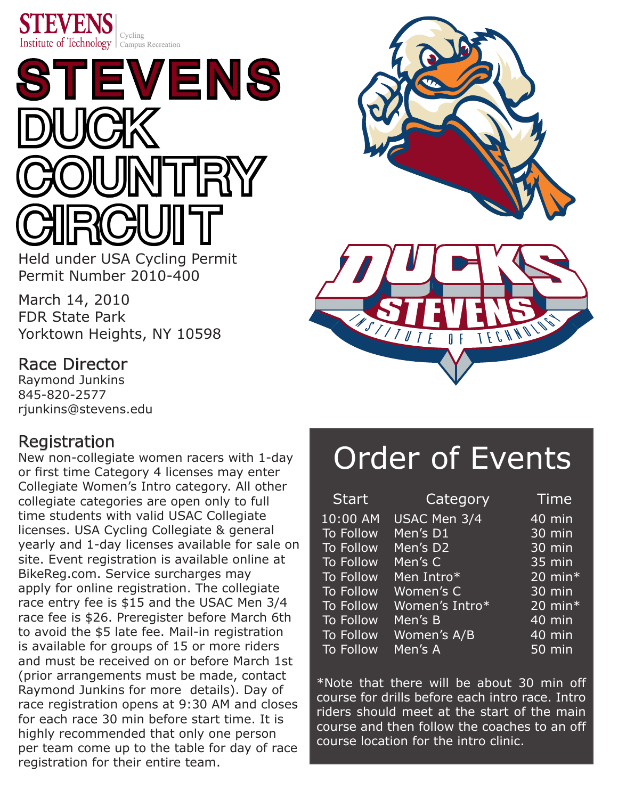

# STEVENS DUCK THRY **CIRCUIT**

Held under USA Cycling Permit Permit Number 2010-400

March 14, 2010 FDR State Park Yorktown Heights, NY 10598

# Race Director

Raymond Junkins 845-820-2577 rjunkins@stevens.edu

# Registration

New non-collegiate women racers with 1-day or first time Category 4 licenses may enter Collegiate Women's Intro category. All other collegiate categories are open only to full time students with valid USAC Collegiate licenses. USA Cycling Collegiate & general yearly and 1-day licenses available for sale on site. Event registration is available online at [BikeReg.com. S](http://www.bikereg.com/events/register.asp?eventid=9662)ervice surcharges may apply for online registration. The collegiate race entry fee is \$15 and the USAC Men 3/4 race fee is \$26. Preregister before March 6th to avoid the \$5 late fee. Mail-in registration is available for groups of 15 or more riders and must be received on or before March 1st (prior arrangements must be made, contact Raymond Junkins for more details). Day of race registration opens at 9:30 AM and closes for each race 30 min before start time. It is highly recommended that only one person per team come up to the table for day of race registration for their entire team.



# Order of Events

| <b>Start</b>           | Category       | Time                  |
|------------------------|----------------|-----------------------|
| $\overline{10}$ :00 AM | USAC Men 3/4   | 40 min                |
| <b>To Follow</b>       | Men's D1       | 30 min                |
| <b>To Follow</b>       | Men's D2       | 30 min                |
| <b>To Follow</b>       | Men's C        | 35 min                |
| <b>To Follow</b>       | Men Intro*     | $20$ min <sup>*</sup> |
| <b>To Follow</b>       | Women's C      | 30 min                |
| <b>To Follow</b>       | Women's Intro* | 20 min $*$            |
| <b>To Follow</b>       | Men's B        | 40 min                |
| To Follow              | Women's A/B    | $40 \overline{min}$   |
| <b>To Follow</b>       | Men's A        | 50 min                |

\*Note that there will be about 30 min off course for drills before each intro race. Intro riders should meet at the start of the main course and then follow the coaches to an off course location for the intro clinic.